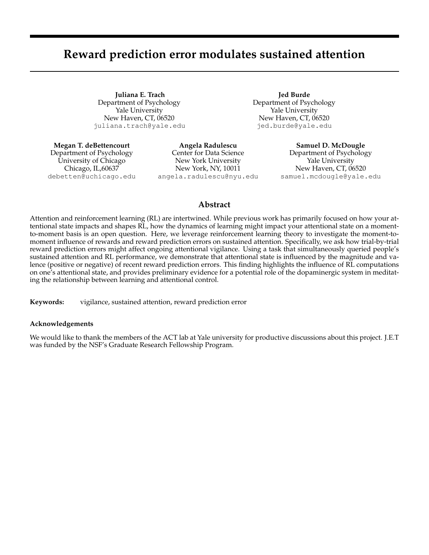# **Reward prediction error modulates sustained attention**

**Juliana E. Trach** Department of Psychology Yale University New Haven, CT, 06520 juliana.trach@yale.edu

**Jed Burde** Department of Psychology Yale University New Haven, CT, 06520 jed.burde@yale.edu

**Megan T. deBettencourt** Department of Psychology University of Chicago Chicago, IL,60637 debetten@uchicago.edu

**Angela Radulescu** Center for Data Science New York University New York, NY, 10011 angela.radulescu@nyu.edu

**Samuel D. McDougle** Department of Psychology Yale University New Haven, CT, 06520 samuel.mcdougle@yale.edu

## **Abstract**

Attention and reinforcement learning (RL) are intertwined. While previous work has primarily focused on how your attentional state impacts and shapes RL, how the dynamics of learning might impact your attentional state on a momentto-moment basis is an open question. Here, we leverage reinforcement learning theory to investigate the moment-tomoment influence of rewards and reward prediction errors on sustained attention. Specifically, we ask how trial-by-trial reward prediction errors might affect ongoing attentional vigilance. Using a task that simultaneously queried people's sustained attention and RL performance, we demonstrate that attentional state is influenced by the magnitude and valence (positive or negative) of recent reward prediction errors. This finding highlights the influence of RL computations on one's attentional state, and provides preliminary evidence for a potential role of the dopaminergic system in meditating the relationship between learning and attentional control.

**Keywords:** vigilance, sustained attention, reward prediction error

### **Acknowledgements**

We would like to thank the members of the ACT lab at Yale university for productive discussions about this project. J.E.T was funded by the NSF's Graduate Research Fellowship Program.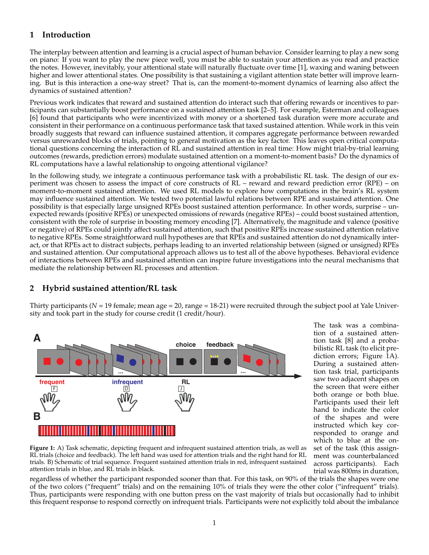# **1 Introduction**

The interplay between attention and learning is a crucial aspect of human behavior. Consider learning to play a new song on piano: If you want to play the new piece well, you must be able to sustain your attention as you read and practice the notes. However, inevitably, your attentional state will naturally fluctuate over time [1], waxing and waning between higher and lower attentional states. One possibility is that sustaining a vigilant attention state better will improve learning. But is this interaction a one-way street? That is, can the moment-to-moment dynamics of learning also affect the dynamics of sustained attention?

Previous work indicates that reward and sustained attention do interact such that offering rewards or incentives to participants can substantially boost performance on a sustained attention task [2–5]. For example, Esterman and colleagues [6] found that participants who were incentivized with money or a shortened task duration were more accurate and consistent in their performance on a continuous performance task that taxed sustained attention. While work in this vein broadly suggests that reward can influence sustained attention, it compares aggregate performance between rewarded versus unrewarded blocks of trials, pointing to general motivation as the key factor. This leaves open critical computational questions concerning the interaction of RL and sustained attention in real time: How might trial-by-trial learning outcomes (rewards, prediction errors) modulate sustained attention on a moment-to-moment basis? Do the dynamics of RL computations have a lawful relationship to ongoing attentional vigilance?

In the following study, we integrate a continuous performance task with a probabilistic RL task. The design of our experiment was chosen to assess the impact of core constructs of RL – reward and reward prediction error (RPE) – on moment-to-moment sustained attention. We used RL models to explore how computations in the brain's RL system may influence sustained attention. We tested two potential lawful relations between RPE and sustained attention. One possibility is that especially large unsigned RPEs boost sustained attention performance. In other words, surprise – unexpected rewards (positive RPEs) or unexpected omissions of rewards (negative RPEs) – could boost sustained attention, consistent with the role of surprise in boosting memory encoding [7]. Alternatively, the magnitude and valence (positive or negative) of RPEs could jointly affect sustained attention, such that positive RPEs increase sustained attention relative to negative RPEs. Some straightforward null hypotheses are that RPEs and sustained attention do not dynamically interact, or that RPEs act to distract subjects, perhaps leading to an inverted relationship between (signed or unsigned) RPEs and sustained attention. Our computational approach allows us to test all of the above hypotheses. Behavioral evidence of interactions between RPEs and sustained attention can inspire future investigations into the neural mechanisms that mediate the relationship between RL processes and attention.

# **2 Hybrid sustained attention/RL task**

Thirty participants ( $N = 19$  female; mean age  $= 20$ , range  $= 18-21$ ) were recruited through the subject pool at Yale University and took part in the study for course credit (1 credit/hour).



The task was a combination of a sustained attention task [8] and a probabilistic RL task (to elicit prediction errors; Figure 1A). During a sustained attention task trial, participants saw two adjacent shapes on the screen that were either both orange or both blue. Participants used their left hand to indicate the color of the shapes and were instructed which key corresponded to orange and which to blue at the onset of the task (this assignment was counterbalanced across participants). Each trial was 800ms in duration,

**Figure 1:** A) Task schematic, depicting frequent and infrequent sustained attention trials, as well as RL trials (choice and feedback). The left hand was used for attention trials and the right hand for RL trials. B) Schematic of trial sequence. Frequent sustained attention trials in red, infrequent sustained attention trials in blue, and RL trials in black.

regardless of whether the participant responded sooner than that. For this task, on 90% of the trials the shapes were one of the two colors ("frequent" trials) and on the remaining 10% of trials they were the other color ("infrequent" trials). Thus, participants were responding with one button press on the vast majority of trials but occasionally had to inhibit this frequent response to respond correctly on infrequent trials. Participants were not explicitly told about the imbalance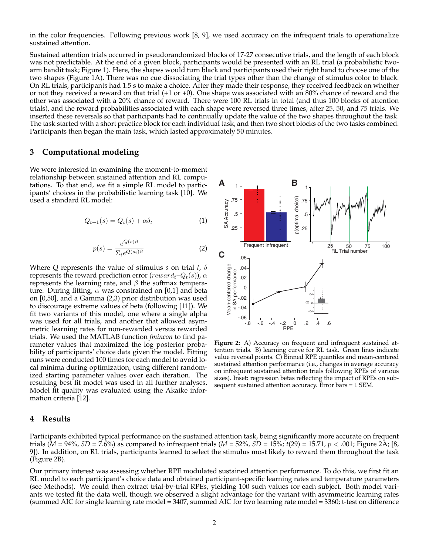in the color frequencies. Following previous work [8, 9], we used accuracy on the infrequent trials to operationalize sustained attention.

Sustained attention trials occurred in pseudorandomized blocks of 17-27 consecutive trials, and the length of each block was not predictable. At the end of a given block, participants would be presented with an RL trial (a probabilistic twoarm bandit task; Figure 1). Here, the shapes would turn black and participants used their right hand to choose one of the two shapes (Figure 1A). There was no cue dissociating the trial types other than the change of stimulus color to black. On RL trials, participants had 1.5 s to make a choice. After they made their response, they received feedback on whether or not they received a reward on that trial (+1 or +0). One shape was associated with an 80% chance of reward and the other was associated with a 20% chance of reward. There were 100 RL trials in total (and thus 100 blocks of attention trials), and the reward probabilities associated with each shape were reversed three times, after 25, 50, and 75 trials. We inserted these reversals so that participants had to continually update the value of the two shapes throughout the task. The task started with a short practice block for each individual task, and then two short blocks of the two tasks combined. Participants then began the main task, which lasted approximately 50 minutes.

### **3 Computational modeling**

We were interested in examining the moment-to-moment relationship between sustained attention and RL computations. To that end, we fit a simple RL model to participants' choices in the probabilistic learning task [10]. We used a standard RL model:

$$
Q_{t+1}(s) = Q_t(s) + \alpha \delta_t \tag{1}
$$

$$
p(s) = \frac{e^{Q(s)\beta}}{\Sigma_i e^{Q(s_i)\beta}}
$$
 (2)

Where *Q* represents the value of stimulus *s* on trial *t*, δ represents the reward prediction error ( $reward_t-Q_t(s)$ ),  $\alpha$ represents the learning rate, and  $\beta$  the softmax temperature. During fitting,  $\alpha$  was constrained on [0,1] and beta on [0,50], and a Gamma (2,3) prior distribution was used to discourage extreme values of beta (following [11]). We fit two variants of this model, one where a single alpha was used for all trials, and another that allowed asymmetric learning rates for non-rewarded versus rewarded trials. We used the MATLAB function *fmincon* to find parameter values that maximized the log posterior probability of participants' choice data given the model. Fitting runs were conducted 100 times for each model to avoid local minima during optimization, using different randomized starting parameter values over each iteration. The resulting best fit model was used in all further analyses. Model fit quality was evaluated using the Akaike information criteria [12].

#### **4 Results**



**Figure 2:** A) Accuracy on frequent and infrequent sustained attention trials. B) learning curve for RL task. Green lines indicate value reversal points. C) Binned RPE quantiles and mean-centered sustained attention performance (i.e., changes in average accuracy on infrequent sustained attention trials following RPEs of various sizes). Inset: regression betas reflecting the impact of RPEs on subsequent sustained attention accuracy. Error bars = 1 SEM.

Participants exhibited typical performance on the sustained attention task, being significantly more accurate on frequent trials (*M* = 94%, *SD* = 7.6%) as compared to infrequent trials (*M* = 52%, *SD* = 15%; *t*(29) = 15.71, *p* < .001; Figure 2A; [8, 9]). In addition, on RL trials, participants learned to select the stimulus most likely to reward them throughout the task (Figure 2B).

Our primary interest was assessing whether RPE modulated sustained attention performance. To do this, we first fit an RL model to each participant's choice data and obtained participant-specific learning rates and temperature parameters (see Methods). We could then extract trial-by-trial RPEs, yielding 100 such values for each subject. Both model variants we tested fit the data well, though we observed a slight advantage for the variant with asymmetric learning rates (summed AIC for single learning rate model = 3407, summed AIC for two learning rate model =  $3360$ ; t-test on difference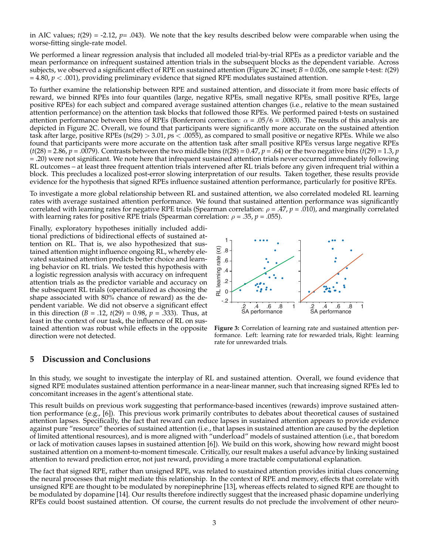in AIC values;  $t(29) = -2.12$ ,  $p = .043$ ). We note that the key results described below were comparable when using the worse-fitting single-rate model.

We performed a linear regression analysis that included all modeled trial-by-trial RPEs as a predictor variable and the mean performance on infrequent sustained attention trials in the subsequent blocks as the dependent variable. Across subjects, we observed a significant effect of RPE on sustained attention (Figure 2C inset; *B* = 0.026, one sample t-test: *t*(29)  $= 4.80, p < .001$ ), providing preliminary evidence that signed RPE modulates sustained attention.

To further examine the relationship between RPE and sustained attention, and dissociate it from more basic effects of reward, we binned RPEs into four quantiles (large, negative RPEs, small negative RPEs, small positive RPEs, large positive RPEs) for each subject and compared average sustained attention changes (i.e., relative to the mean sustained attention performance) on the attention task blocks that followed those RPEs. We performed paired t-tests on sustained attention performance between bins of RPEs (Bonferroni correction:  $\alpha = .05/6 = .0083$ ). The results of this analysis are depicted in Figure 2C. Overall, we found that participants were significantly more accurate on the sustained attention task after large, positive RPEs (*t*s(29) > 3.01, *p*s < .0055), as compared to small positive or negative RPEs. While we also found that participants were more accurate on the attention task after small positive RPEs versus large negative RPEs  $(t(28) = 2.86, p = .0079)$ . Contrasts between the two middle bins  $(t(28) = 0.47, p = .64)$  or the two negative bins  $(t(29) = 1.3, p$ = .20) were not significant. We note here that infrequent sustained attention trials never occurred immediately following RL outcomes – at least three frequent attention trials intervened after RL trials before any given infrequent trial within a block. This precludes a localized post-error slowing interpretation of our results. Taken together, these results provide evidence for the hypothesis that signed RPEs influence sustained attention performance, particularly for positive RPEs.

To investigate a more global relationship between RL and sustained attention, we also correlated modeled RL learning rates with average sustained attention performance. We found that sustained attention performance was significantly correlated with learning rates for negative RPE trials (Spearman correlation: ρ = .47, *p* = .010), and marginally correlated with learning rates for positive RPE trials (Spearman correlation:  $\rho = .35$ ,  $p = .055$ ).

Finally, exploratory hypotheses initially included additional predictions of bidirectional effects of sustained attention on RL. That is, we also hypothesized that sustained attention might influence ongoing RL, whereby elevated sustained attention predicts better choice and learning behavior on RL trials. We tested this hypothesis with a logistic regression analysis with accuracy on infrequent attention trials as the predictor variable and accuracy on the subsequent RL trials (operationalized as choosing the shape associated with 80% chance of reward) as the dependent variable. We did not observe a significant effect in this direction (*B* = .12, *t*(29) = 0.98, *p* = .333). Thus, at least in the context of our task, the influence of RL on sustained attention was robust while effects in the opposite direction were not detected.



**Figure 3:** Correlation of learning rate and sustained attention performance. Left: learning rate for rewarded trials, Right: learning rate for unrewarded trials.

## **5 Discussion and Conclusions**

In this study, we sought to investigate the interplay of RL and sustained attention. Overall, we found evidence that signed RPE modulates sustained attention performance in a near-linear manner, such that increasing signed RPEs led to concomitant increases in the agent's attentional state.

This result builds on previous work suggesting that performance-based incentives (rewards) improve sustained attention performance (e.g., [6]). This previous work primarily contributes to debates about theoretical causes of sustained attention lapses. Specifically, the fact that reward can reduce lapses in sustained attention appears to provide evidence against pure "resource" theories of sustained attention (i.e., that lapses in sustained attention are caused by the depletion of limited attentional resources), and is more aligned with "underload" models of sustained attention (i.e., that boredom or lack of motivation causes lapses in sustained attention [6]). We build on this work, showing how reward might boost sustained attention on a moment-to-moment timescale. Critically, our result makes a useful advance by linking sustained attention to reward prediction error, not just reward, providing a more tractable computational explanation.

The fact that signed RPE, rather than unsigned RPE, was related to sustained attention provides initial clues concerning the neural processes that might mediate this relationship. In the context of RPE and memory, effects that correlate with unsigned RPE are thought to be modulated by norepinephrine [13], whereas effects related to signed RPE are thought to be modulated by dopamine [14]. Our results therefore indirectly suggest that the increased phasic dopamine underlying RPEs could boost sustained attention. Of course, the current results do not preclude the involvement of other neuro